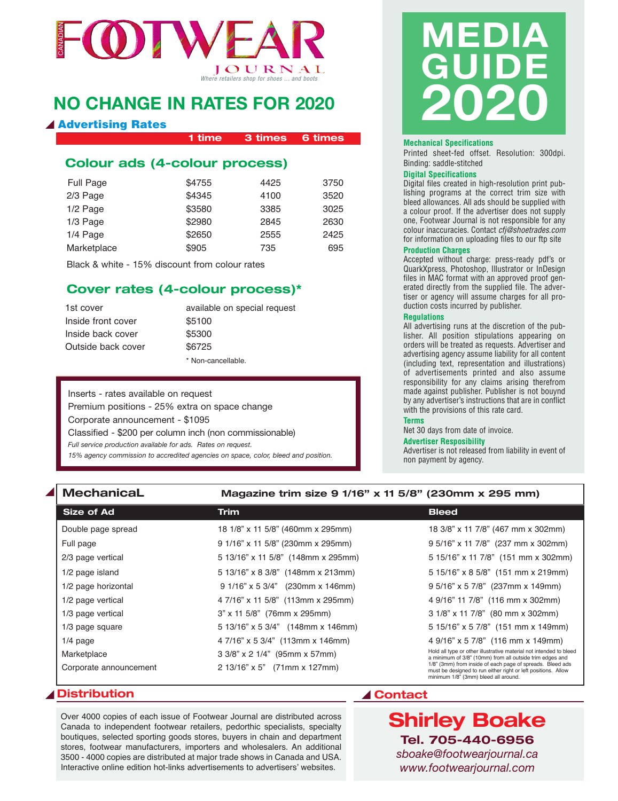

### **NO CHANGE IN RATES FOR 2020**

#### **Advertising Rates**

**1 time 3 times 6 times**

### **Colour ads (4-colour process)**

| Full Page   | \$4755 | 4425 | 3750 |
|-------------|--------|------|------|
| 2/3 Page    | \$4345 | 4100 | 3520 |
| 1/2 Page    | \$3580 | 3385 | 3025 |
| 1/3 Page    | \$2980 | 2845 | 2630 |
| 1/4 Page    | \$2650 | 2555 | 2425 |
| Marketplace | \$905  | 735  | 695  |

Black & white - 15% discount from colour rates

#### **Cover rates (4-colour process)\***

| 1st cover          | available on special request |
|--------------------|------------------------------|
| Inside front cover | \$5100                       |
| Inside back cover  | \$5300                       |
| Outside back cover | \$6725                       |
|                    | * Non-cancellable.           |

Inserts - rates available on request Premium positions - 25% extra on space change Corporate announcement - \$1095 Classified - \$200 per column inch (non commissionable) *Full service production available for ads. Rates on request. 15% agency commission to accredited agencies on space, color, bleed and position.*

# **mEdIA GuIdE 2020**

#### **Mechanical Specifications**

Printed sheet-fed offset. Resolution: 300dpi. Binding: saddle-stitched

#### **Digital Specifications**

Digital files created in high-resolution print publishing programs at the correct trim size with bleed allowances. All ads should be supplied with a colour proof. If the advertiser does not supply one, Footwear Journal is not responsible for any colour inaccuracies. Contact *cfj@shoetrades.com* for information on uploading files to our ftp site

#### **Production Charges**

Accepted without charge: press-ready pdf's or QuarkXpress, Photoshop, Illustrator or InDesign files in MAC format with an approved proof generated directly from the supplied file. The advertiser or agency will assume charges for all production costs incurred by publisher.

#### **Regulations**

All advertising runs at the discretion of the publisher. All position stipulations appearing on orders will be treated as requests. Advertiser and advertising agency assume liability for all content (including text, representation and illustrations) of advertisements printed and also assume responsibility for any claims arising therefrom made against publisher. Publisher is not bouynd by any advertiser's instructions that are in conflict with the provisions of this rate card.

**Terms**

Net 30 days from date of invoice.

#### **Advertiser Resposibility**

Advertiser is not released from liability in event of non payment by agency.

#### **MechanicaL Magazine trim size 9 1/16" x 11 5/8" (230mm x 295 mm)**

| <b>Size of Ad</b>      | Trim                               | <b>Bleed</b>                                                                                                                                                       |
|------------------------|------------------------------------|--------------------------------------------------------------------------------------------------------------------------------------------------------------------|
| Double page spread     | 18 1/8" x 11 5/8" (460mm x 295mm)  | 18 3/8" x 11 7/8" (467 mm x 302mm)                                                                                                                                 |
| Full page              | 9 1/16" x 11 5/8" (230mm x 295mm)  | 9 5/16" x 11 7/8" (237 mm x 302mm)                                                                                                                                 |
| 2/3 page vertical      | 5 13/16" x 11 5/8" (148mm x 295mm) | 5 15/16" x 11 7/8" (151 mm x 302mm)                                                                                                                                |
| 1/2 page island        | 5 13/16" x 8 3/8" (148mm x 213mm)  | 5 15/16" x 8 5/8" (151 mm x 219mm)                                                                                                                                 |
| 1/2 page horizontal    | $91/16"$ x 5 3/4" (230mm x 146mm)  | 9 5/16" x 5 7/8" (237mm x 149mm)                                                                                                                                   |
| 1/2 page vertical      | 4 7/16" x 11 5/8" (113mm x 295mm)  | 4 9/16" 11 7/8" (116 mm x 302mm)                                                                                                                                   |
| 1/3 page vertical      | 3" x 11 5/8" (76mm x 295mm)        | 3 1/8" x 11 7/8" (80 mm x 302mm)                                                                                                                                   |
| 1/3 page square        | 5 13/16" x 5 3/4" (148mm x 146mm)  | 5 15/16" x 5 7/8" (151 mm x 149mm)                                                                                                                                 |
| $1/4$ page             | 4 7/16" x 5 3/4" (113mm x 146mm)   | 4 9/16" x 5 7/8" (116 mm x 149mm)                                                                                                                                  |
| Marketplace            | 3 3/8" x 2 1/4" (95mm x 57mm)      | Hold all type or other illustrative material not intended to bleed<br>a minimum of 3/8" (10mm) from all outside trim edges and                                     |
| Corporate announcement | 2 13/16" x 5" (71mm x 127mm)       | 1/8" (3mm) from inside of each page of spreads. Bleed ads<br>must be designed to run either right or left positions. Allow<br>minimum 1/8" (3mm) bleed all around. |

#### ▲ Distribution **A** Contact

Over 4000 copies of each issue of Footwear Journal are distributed across Canada to independent footwear retailers, pedorthic specialists, specialty boutiques, selected sporting goods stores, buyers in chain and department stores, footwear manufacturers, importers and wholesalers. An additional 3500 - 4000 copies are distributed at major trade shows in Canada and USA. Interactive online edition hot-links advertisements to advertisers' websites.

**Shirley Boake Tel. 705-440-6956** *sboake@footwearjournal.ca www.footwearjournal.com*